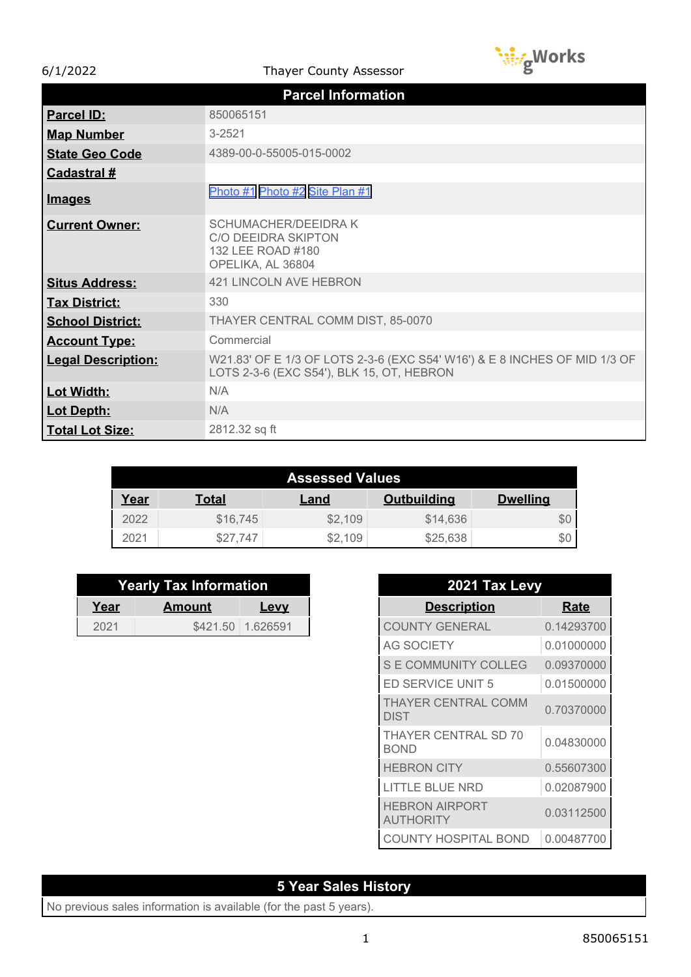6/1/2022 Thayer County Assessor



|                           | <b>Parcel Information</b>                                                                                              |
|---------------------------|------------------------------------------------------------------------------------------------------------------------|
| <b>Parcel ID:</b>         | 850065151                                                                                                              |
| <b>Map Number</b>         | $3 - 2521$                                                                                                             |
| <b>State Geo Code</b>     | 4389-00-0-55005-015-0002                                                                                               |
| <b>Cadastral #</b>        |                                                                                                                        |
| <u>Images</u>             | Photo #1 Photo #2 Site Plan #1                                                                                         |
| <b>Current Owner:</b>     | <b>SCHUMACHER/DEEIDRAK</b><br><b>C/O DEEIDRA SKIPTON</b><br>132 LEE ROAD #180<br>OPELIKA, AL 36804                     |
| <b>Situs Address:</b>     | 421 LINCOLN AVE HEBRON                                                                                                 |
| <b>Tax District:</b>      | 330                                                                                                                    |
| <b>School District:</b>   | THAYER CENTRAL COMM DIST, 85-0070                                                                                      |
| <b>Account Type:</b>      | Commercial                                                                                                             |
| <b>Legal Description:</b> | W21.83' OF E 1/3 OF LOTS 2-3-6 (EXC S54' W16') & E 8 INCHES OF MID 1/3 OF<br>LOTS 2-3-6 (EXC S54'), BLK 15, OT, HEBRON |
| Lot Width:                | N/A                                                                                                                    |
| <b>Lot Depth:</b>         | N/A                                                                                                                    |
| Total Lot Size:           | 2812.32 sq ft                                                                                                          |

| <b>Assessed Values</b> |          |         |                    |                 |
|------------------------|----------|---------|--------------------|-----------------|
| <u>Year</u>            | Total    | Land    | <b>Outbuilding</b> | <b>Dwelling</b> |
| 2022                   | \$16,745 | \$2,109 | \$14,636           | \$0             |
| 2021                   | \$27.747 | \$2.109 | \$25,638           | \$0             |

| <b>Yearly Tax Information</b> |        |                   |  |
|-------------------------------|--------|-------------------|--|
| Year                          | Amount | <b>Levy</b>       |  |
| 2021                          |        | \$421.50 1.626591 |  |

| 2021 Tax Levy                             |             |
|-------------------------------------------|-------------|
| <b>Description</b>                        | <b>Rate</b> |
| <b>COUNTY GENERAL</b>                     | 0.14293700  |
| <b>AG SOCIETY</b>                         | 0.01000000  |
| S E COMMUNITY COLLEG                      | 0.09370000  |
| ED SERVICE UNIT 5                         | 0.01500000  |
| <b><i>THAYER CENTRAL COMM</i></b><br>DIST | 0.70370000  |
| <b>HAYER CENTRAL SD 70</b><br>BOND        | 0.04830000  |
| HEBRON CITY                               | 0.55607300  |
| TLE BLUE NRD                              | 0.02087900  |
| HEBRON AIRPORT<br>AUTHORITY               | 0.03112500  |
| 'Y HOSPITAL BOND                          | 0.00487700  |

## **5 Year Sales History**

No previous sales information is available (for the past 5 years).